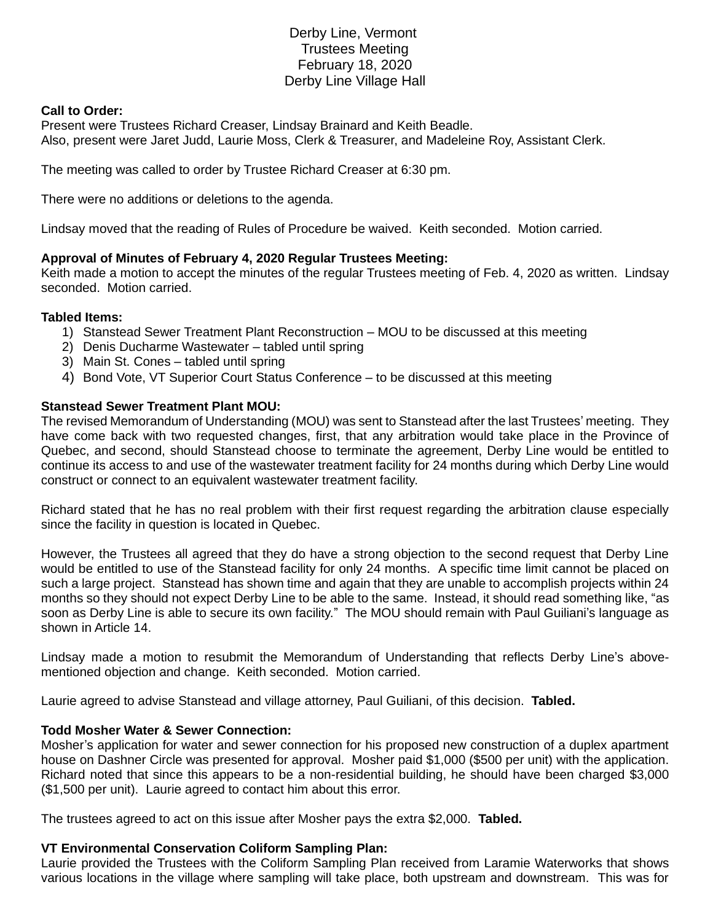# Derby Line, Vermont Trustees Meeting February 18, 2020 Derby Line Village Hall

#### **Call to Order:**

Present were Trustees Richard Creaser, Lindsay Brainard and Keith Beadle. Also, present were Jaret Judd, Laurie Moss, Clerk & Treasurer, and Madeleine Roy, Assistant Clerk.

The meeting was called to order by Trustee Richard Creaser at 6:30 pm.

There were no additions or deletions to the agenda.

Lindsay moved that the reading of Rules of Procedure be waived. Keith seconded. Motion carried.

# **Approval of Minutes of February 4, 2020 Regular Trustees Meeting:**

Keith made a motion to accept the minutes of the regular Trustees meeting of Feb. 4, 2020 as written. Lindsay seconded. Motion carried.

### **Tabled Items:**

- 1) Stanstead Sewer Treatment Plant Reconstruction MOU to be discussed at this meeting
- 2) Denis Ducharme Wastewater tabled until spring
- 3) Main St. Cones tabled until spring
- 4) Bond Vote, VT Superior Court Status Conference to be discussed at this meeting

# **Stanstead Sewer Treatment Plant MOU:**

The revised Memorandum of Understanding (MOU) was sent to Stanstead after the last Trustees' meeting. They have come back with two requested changes, first, that any arbitration would take place in the Province of Quebec, and second, should Stanstead choose to terminate the agreement, Derby Line would be entitled to continue its access to and use of the wastewater treatment facility for 24 months during which Derby Line would construct or connect to an equivalent wastewater treatment facility.

Richard stated that he has no real problem with their first request regarding the arbitration clause especially since the facility in question is located in Quebec.

However, the Trustees all agreed that they do have a strong objection to the second request that Derby Line would be entitled to use of the Stanstead facility for only 24 months. A specific time limit cannot be placed on such a large project. Stanstead has shown time and again that they are unable to accomplish projects within 24 months so they should not expect Derby Line to be able to the same. Instead, it should read something like, "as soon as Derby Line is able to secure its own facility." The MOU should remain with Paul Guiliani's language as shown in Article 14.

Lindsay made a motion to resubmit the Memorandum of Understanding that reflects Derby Line's abovementioned objection and change. Keith seconded. Motion carried.

Laurie agreed to advise Stanstead and village attorney, Paul Guiliani, of this decision. **Tabled.**

# **Todd Mosher Water & Sewer Connection:**

Mosher's application for water and sewer connection for his proposed new construction of a duplex apartment house on Dashner Circle was presented for approval. Mosher paid \$1,000 (\$500 per unit) with the application. Richard noted that since this appears to be a non-residential building, he should have been charged \$3,000 (\$1,500 per unit). Laurie agreed to contact him about this error.

The trustees agreed to act on this issue after Mosher pays the extra \$2,000. **Tabled.**

# **VT Environmental Conservation Coliform Sampling Plan:**

Laurie provided the Trustees with the Coliform Sampling Plan received from Laramie Waterworks that shows various locations in the village where sampling will take place, both upstream and downstream. This was for